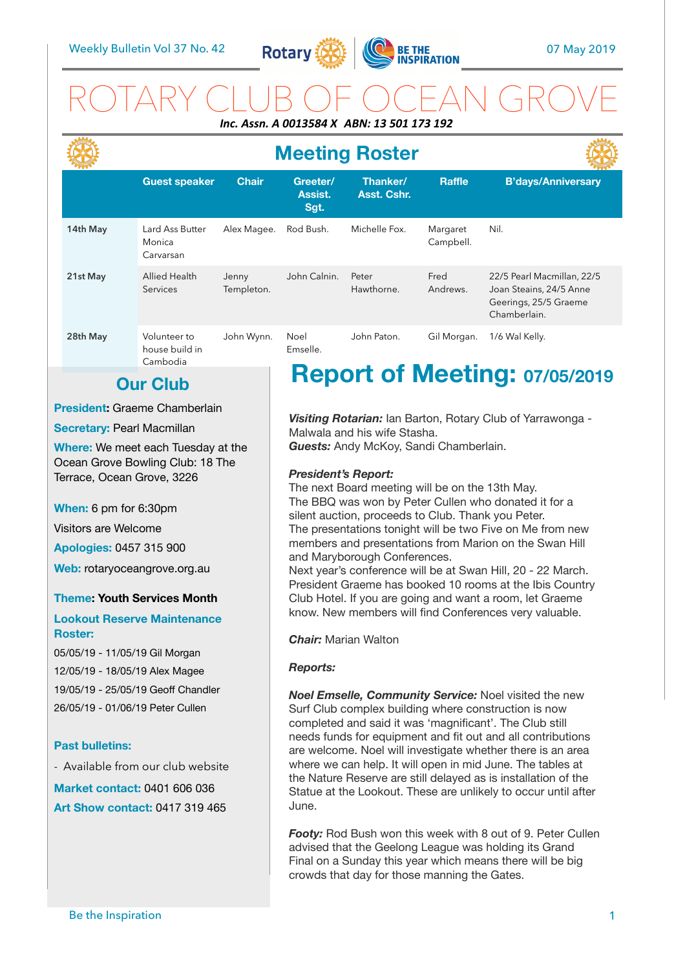

## ROTARY CLUB OF OCEAN GROVE *Inc. Assn. A 0013584 X ABN: 13 501 173 192*

|          |                                            |                     | <b>Meeting Roster</b>       |                         |                       |                                                                                                |  |
|----------|--------------------------------------------|---------------------|-----------------------------|-------------------------|-----------------------|------------------------------------------------------------------------------------------------|--|
|          | <b>Guest speaker</b>                       | <b>Chair</b>        | Greeter/<br>Assist.<br>Sgt. | Thanker/<br>Asst. Cshr. | <b>Raffle</b>         | <b>B'days/Anniversary</b>                                                                      |  |
| 14th May | Lard Ass Butter<br>Monica<br>Carvarsan     | Alex Magee.         | Rod Bush.                   | Michelle Fox.           | Margaret<br>Campbell. | Nil.                                                                                           |  |
| 21st May | Allied Health<br>Services                  | Jenny<br>Templeton. | John Calnin.                | Peter<br>Hawthorne.     | Fred<br>Andrews.      | 22/5 Pearl Macmillan, 22/5<br>Joan Steains, 24/5 Anne<br>Geerings, 25/5 Graeme<br>Chamberlain. |  |
| 28th May | Volunteer to<br>house build in<br>Cambodia | John Wynn.          | Noel<br>Emselle.            | John Paton.             | Gil Morgan.           | 1/6 Wal Kelly.                                                                                 |  |

### **Our Club**

### **President:** Graeme Chamberlain

### **Secretary: Pearl Macmillan**

**Where:** We meet each Tuesday at the Ocean Grove Bowling Club: 18 The Terrace, Ocean Grove, 3226

**When:** 6 pm for 6:30pm

Visitors are Welcome

**Apologies:** 0457 315 900

**Web:** rotaryoceangrove.org.au

### **Theme: Youth Services Month**

### **Lookout Reserve Maintenance Roster:**

05/05/19 - 11/05/19 Gil Morgan 12/05/19 - 18/05/19 Alex Magee 19/05/19 - 25/05/19 Geoff Chandler 26/05/19 - 01/06/19 Peter Cullen

### **Past bulletins:**

- Available from our club website

**Market contact:** 0401 606 036 **Art Show contact:** 0417 319 465

# **Report of Meeting: 07/05/2019**

*Visiting Rotarian:* Ian Barton, Rotary Club of Yarrawonga - Malwala and his wife Stasha. *Guests:* Andy McKoy, Sandi Chamberlain.

### *President's Report:*

The next Board meeting will be on the 13th May. The BBQ was won by Peter Cullen who donated it for a silent auction, proceeds to Club. Thank you Peter. The presentations tonight will be two Five on Me from new members and presentations from Marion on the Swan Hill and Maryborough Conferences.

Next year's conference will be at Swan Hill, 20 - 22 March. President Graeme has booked 10 rooms at the Ibis Country Club Hotel. If you are going and want a room, let Graeme know. New members will find Conferences very valuable.

*Chair:* Marian Walton

### *Reports:*

*Noel Emselle, Community Service:* Noel visited the new Surf Club complex building where construction is now completed and said it was 'magnificant'. The Club still needs funds for equipment and fit out and all contributions are welcome. Noel will investigate whether there is an area where we can help. It will open in mid June. The tables at the Nature Reserve are still delayed as is installation of the Statue at the Lookout. These are unlikely to occur until after June.

*Footy:* Rod Bush won this week with 8 out of 9. Peter Cullen advised that the Geelong League was holding its Grand Final on a Sunday this year which means there will be big crowds that day for those manning the Gates.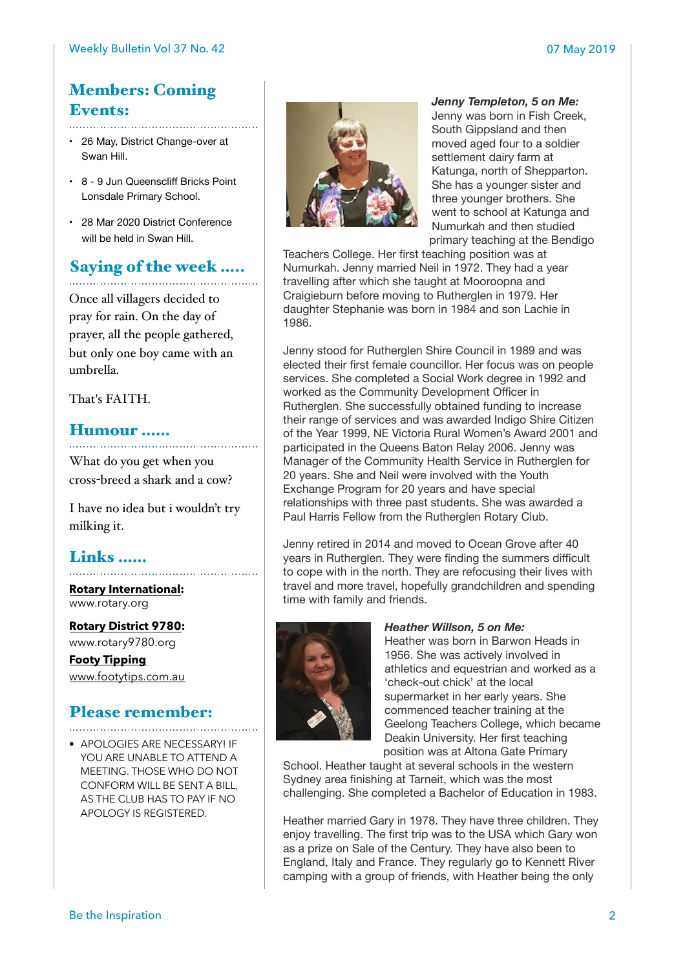## Members: Coming Events:

- 26 May, District Change-over at Swan Hill.
- 8 9 Jun Queenscliff Bricks Point Lonsdale Primary School.
- 28 Mar 2020 District Conference will be held in Swan Hill.

### Saying of the week …..

Once all villagers decided to pray for rain. On the day of prayer, all the people gathered, but only one boy came with an umbrella.

That's FAITH.

## Humour ……

What do you get when you cross-breed a shark and a cow?

I have no idea but i wouldn't try milking it.

### Links ……

**[Rotary International:](https://www.rotary.org)**  [www.rotary.org](http://www.rotary.org) 

**[Rotary District 9780:](http://rotary9780.org)**  [www.rotary9780.org](http://www.rotary9780.org) 

**[Footy Tipping](http://www.footytips.com.au)** [www.footytips.com.au](http://www.footytips.com.au)

### Please remember:

- 
- APOLOGIES ARE NECESSARY! IF YOU ARE UNABLE TO ATTEND A MEETING. THOSE WHO DO NOT CONFORM WILL BE SENT A BILL, AS THE CLUB HAS TO PAY IF NO APOLOGY IS REGISTERED.



### *Jenny Templeton, 5 on Me:*

Jenny was born in Fish Creek, South Gippsland and then moved aged four to a soldier settlement dairy farm at Katunga, north of Shepparton. She has a younger sister and three younger brothers. She went to school at Katunga and Numurkah and then studied primary teaching at the Bendigo

Teachers College. Her first teaching position was at Numurkah. Jenny married Neil in 1972. They had a year travelling after which she taught at Mooroopna and Craigieburn before moving to Rutherglen in 1979. Her daughter Stephanie was born in 1984 and son Lachie in 1986.

Jenny stood for Rutherglen Shire Council in 1989 and was elected their first female councillor. Her focus was on people services. She completed a Social Work degree in 1992 and worked as the Community Development Officer in Rutherglen. She successfully obtained funding to increase their range of services and was awarded Indigo Shire Citizen of the Year 1999, NE Victoria Rural Women's Award 2001 and participated in the Queens Baton Relay 2006. Jenny was Manager of the Community Health Service in Rutherglen for 20 years. She and Neil were involved with the Youth Exchange Program for 20 years and have special relationships with three past students. She was awarded a Paul Harris Fellow from the Rutherglen Rotary Club.

Jenny retired in 2014 and moved to Ocean Grove after 40 years in Rutherglen. They were finding the summers difficult to cope with in the north. They are refocusing their lives with travel and more travel, hopefully grandchildren and spending time with family and friends.



### *Heather Willson, 5 on Me:*

Heather was born in Barwon Heads in 1956. She was actively involved in athletics and equestrian and worked as a 'check-out chick' at the local supermarket in her early years. She commenced teacher training at the Geelong Teachers College, which became Deakin University. Her first teaching position was at Altona Gate Primary

School. Heather taught at several schools in the western Sydney area finishing at Tarneit, which was the most challenging. She completed a Bachelor of Education in 1983.

Heather married Gary in 1978. They have three children. They enjoy travelling. The first trip was to the USA which Gary won as a prize on Sale of the Century. They have also been to England, Italy and France. They regularly go to Kennett River camping with a group of friends, with Heather being the only